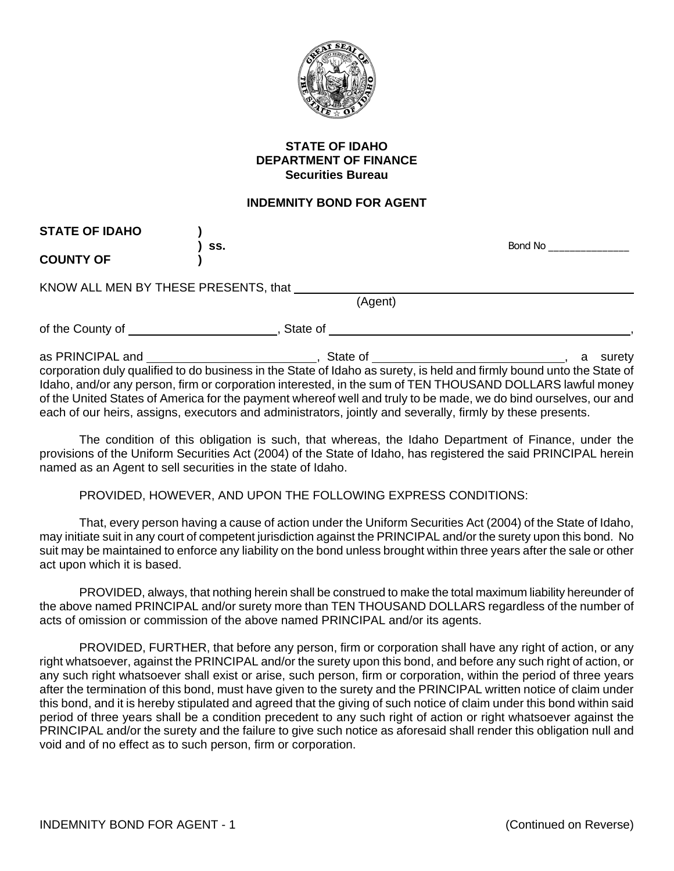

## **STATE OF IDAHO DEPARTMENT OF FINANCE Securities Bureau**

## **INDEMNITY BOND FOR AGENT**

| <b>STATE OF IDAHO</b>                                                                                                                                                                                                               |                                                                                                                       | Bond No. All and the state of the state of the state of the state of the state of the state of the state of the |
|-------------------------------------------------------------------------------------------------------------------------------------------------------------------------------------------------------------------------------------|-----------------------------------------------------------------------------------------------------------------------|-----------------------------------------------------------------------------------------------------------------|
| <b>COUNTY OF</b>                                                                                                                                                                                                                    | SS.                                                                                                                   |                                                                                                                 |
|                                                                                                                                                                                                                                     |                                                                                                                       |                                                                                                                 |
|                                                                                                                                                                                                                                     | KNOW ALL MEN BY THESE PRESENTS, that                                                                                  |                                                                                                                 |
|                                                                                                                                                                                                                                     | (Agent)                                                                                                               |                                                                                                                 |
| of the County of <u>same and the County of</u> substitution of the County of substitution of the County of the County of the County of the County of the County of the County of the County of the County of the County of the Coun | State of                                                                                                              |                                                                                                                 |
|                                                                                                                                                                                                                                     |                                                                                                                       | surety<br>a                                                                                                     |
|                                                                                                                                                                                                                                     | corporation duly qualified to do business in the State of Idaho as surety, is held and firmly bound unto the State of |                                                                                                                 |
|                                                                                                                                                                                                                                     | Idaho, and/or any person, firm or corporation interested, in the sum of TEN THOUSAND DOLLARS lawful money             |                                                                                                                 |
|                                                                                                                                                                                                                                     | of the United States of America for the payment whereof well and truly to be made, we do bind ourselves, our and      |                                                                                                                 |

each of our heirs, assigns, executors and administrators, jointly and severally, firmly by these presents. The condition of this obligation is such, that whereas, the Idaho Department of Finance, under the provisions of the Uniform Securities Act (2004) of the State of Idaho, has registered the said PRINCIPAL herein

PROVIDED, HOWEVER, AND UPON THE FOLLOWING EXPRESS CONDITIONS:

named as an Agent to sell securities in the state of Idaho.

That, every person having a cause of action under the Uniform Securities Act (2004) of the State of Idaho, may initiate suit in any court of competent jurisdiction against the PRINCIPAL and/or the surety upon this bond. No suit may be maintained to enforce any liability on the bond unless brought within three years after the sale or other act upon which it is based.

PROVIDED, always, that nothing herein shall be construed to make the total maximum liability hereunder of the above named PRINCIPAL and/or surety more than TEN THOUSAND DOLLARS regardless of the number of acts of omission or commission of the above named PRINCIPAL and/or its agents.

PROVIDED, FURTHER, that before any person, firm or corporation shall have any right of action, or any right whatsoever, against the PRINCIPAL and/or the surety upon this bond, and before any such right of action, or any such right whatsoever shall exist or arise, such person, firm or corporation, within the period of three years after the termination of this bond, must have given to the surety and the PRINCIPAL written notice of claim under this bond, and it is hereby stipulated and agreed that the giving of such notice of claim under this bond within said period of three years shall be a condition precedent to any such right of action or right whatsoever against the PRINCIPAL and/or the surety and the failure to give such notice as aforesaid shall render this obligation null and void and of no effect as to such person, firm or corporation.